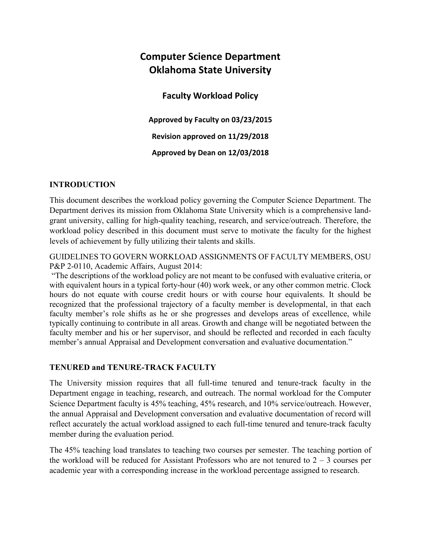# **Computer Science Department Oklahoma State University**

**Faculty Workload Policy** 

**Approved by Faculty on 03/23/2015 Revision approved on 11/29/2018 Approved by Dean on 12/03/2018**

#### **INTRODUCTION**

This document describes the workload policy governing the Computer Science Department. The Department derives its mission from Oklahoma State University which is a comprehensive landgrant university, calling for high-quality teaching, research, and service/outreach. Therefore, the workload policy described in this document must serve to motivate the faculty for the highest levels of achievement by fully utilizing their talents and skills.

GUIDELINES TO GOVERN WORKLOAD ASSIGNMENTS OF FACULTY MEMBERS, OSU P&P 2-0110, Academic Affairs, August 2014:

"The descriptions of the workload policy are not meant to be confused with evaluative criteria, or with equivalent hours in a typical forty-hour (40) work week, or any other common metric. Clock hours do not equate with course credit hours or with course hour equivalents. It should be recognized that the professional trajectory of a faculty member is developmental, in that each faculty member's role shifts as he or she progresses and develops areas of excellence, while typically continuing to contribute in all areas. Growth and change will be negotiated between the faculty member and his or her supervisor, and should be reflected and recorded in each faculty member's annual Appraisal and Development conversation and evaluative documentation."

#### **TENURED and TENURE-TRACK FACULTY**

The University mission requires that all full-time tenured and tenure-track faculty in the Department engage in teaching, research, and outreach. The normal workload for the Computer Science Department faculty is 45% teaching, 45% research, and 10% service/outreach. However, the annual Appraisal and Development conversation and evaluative documentation of record will reflect accurately the actual workload assigned to each full-time tenured and tenure-track faculty member during the evaluation period.

The 45% teaching load translates to teaching two courses per semester. The teaching portion of the workload will be reduced for Assistant Professors who are not tenured to  $2 - 3$  courses per academic year with a corresponding increase in the workload percentage assigned to research.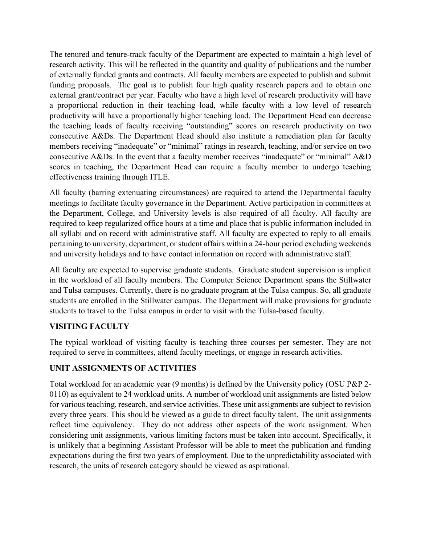The tenured and tenure-track faculty of the Department are expected to maintain a high level of research activity. This will be reflected in the quantity and quality of publications and the number of externally funded grants and contracts. All faculty members are expected to publish and submit funding proposals. The goal is to publish four high quality research papers and to obtain one external grant/contract per year. Faculty who have a high level of research productivity will have a proportional reduction in their teaching load, while faculty with a low level of research productivity will have a proportionally higher teaching load. The Department Head can decrease the teaching loads of faculty receiving "outstanding" scores on research productivity on two consecutive A&Ds. The Department Head should also institute a remediation plan for faculty members receiving "inadequate" or "minimal" ratings in research, teaching, and/or service on two consecutive A&Ds. In the event that a faculty member receives "inadequate" or "minimal" A&D scores in teaching, the Department Head can require a faculty member to undergo teaching effectiveness training through ITLE.

All faculty (barring extenuating circumstances) are required to attend the Departmental faculty meetings to facilitate faculty governance in the Department. Active participation in committees at the Department, College, and University levels is also required of all faculty. All faculty are required to keep regularized office hours at a time and place that is public information included in all syllabi and on record with administrative staff. All faculty are expected to reply to all emails pertaining to university, department, or student affairs within a 24-hour period excluding weekends and university holidays and to have contact information on record with administrative staff.

All faculty are expected to supervise graduate students. Graduate student supervision is implicit in the workload of all faculty members. The Computer Science Department spans the Stillwater and Tulsa campuses. Currently, there is no graduate program at the Tulsa campus. So, all graduate students are enrolled in the Stillwater campus. The Department will make provisions for graduate students to travel to the Tulsa campus in order to visit with the Tulsa-based faculty.

#### **VISITING FACULTY**

The typical workload of visiting faculty is teaching three courses per semester. They are not required to serve in committees, attend faculty meetings, or engage in research activities.

### **UNIT ASSIGNMENTS OF ACTIVITIES**

Total workload for an academic year (9 months) is defined by the University policy (OSU P&P 2- 0110) as equivalent to 24 workload units. A number of workload unit assignments are listed below for various teaching, research, and service activities. These unit assignments are subject to revision every three years. This should be viewed as a guide to direct faculty talent. The unit assignments reflect time equivalency. They do not address other aspects of the work assignment. When considering unit assignments, various limiting factors must be taken into account. Specifically, it is unlikely that a beginning Assistant Professor will be able to meet the publication and funding expectations during the first two years of employment. Due to the unpredictability associated with research, the units of research category should be viewed as aspirational.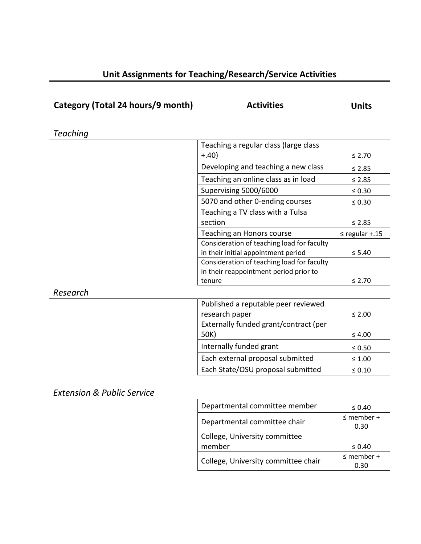| Unit Assignments for Teaching/Research/Service Activities |  |  |  |  |
|-----------------------------------------------------------|--|--|--|--|
|-----------------------------------------------------------|--|--|--|--|

| Category (Total 24 hours/9 month) | <b>Activities</b>                          | <b>Units</b>        |
|-----------------------------------|--------------------------------------------|---------------------|
|                                   |                                            |                     |
| Teaching                          |                                            |                     |
|                                   | Teaching a regular class (large class      |                     |
|                                   | $+,40)$                                    | $≤ 2.70$            |
|                                   | Developing and teaching a new class        | $\leq 2.85$         |
|                                   | Teaching an online class as in load        | $≤ 2.85$            |
|                                   | Supervising 5000/6000                      | $\leq 0.30$         |
|                                   | 5070 and other 0-ending courses            | $\leq 0.30$         |
|                                   | Teaching a TV class with a Tulsa           |                     |
|                                   | section                                    | $\leq 2.85$         |
|                                   | Teaching an Honors course                  | $\leq$ regular +.15 |
|                                   | Consideration of teaching load for faculty |                     |
|                                   | in their initial appointment period        | $\leq 5.40$         |
|                                   | Consideration of teaching load for faculty |                     |
|                                   | in their reappointment period prior to     |                     |
|                                   | tenure                                     | $\leq 2.70$         |
| Research                          |                                            |                     |
|                                   | Published a reputable peer reviewed        |                     |
|                                   | research paper                             | $\leq 2.00$         |
|                                   | Externally funded grant/contract (per      |                     |
|                                   | 50K)                                       | $\leq 4.00$         |
|                                   | Internally funded grant                    | $\leq 0.50$         |
|                                   | Each external proposal submitted           | $\leq 1.00$         |
|                                   | Each State/OSU proposal submitted          | $\leq 0.10$         |

*Extension & Public Service*

| $\leq 0.40$     |  |
|-----------------|--|
| $\leq$ member + |  |
| 0.30            |  |
|                 |  |
| $\leq 0.40$     |  |
| $\leq$ member + |  |
| 0.30            |  |
|                 |  |